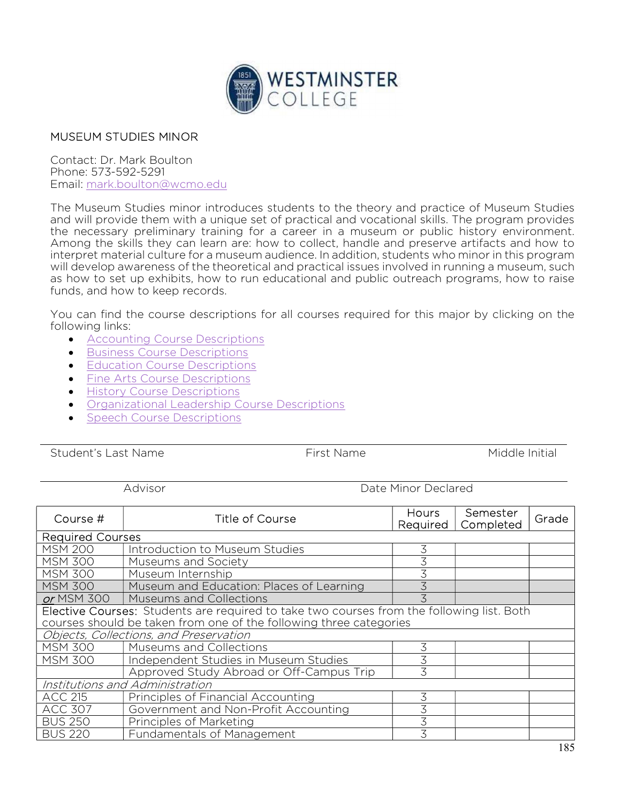

## MUSEUM STUDIES MINOR

Contact: Dr. Mark Boulton Phone: 573-592-5291 Email: mark.boulton@wcmo.edu

The Museum Studies minor introduces students to the theory and practice of Museum Studies and will provide them with a unique set of practical and vocational skills. The program provides the necessary preliminary training for a career in a museum or public history environment. Among the skills they can learn are: how to collect, handle and preserve artifacts and how to interpret material culture for a museum audience. In addition, students who minor in this program will develop awareness of the theoretical and practical issues involved in running a museum, such as how to set up exhibits, how to run educational and public outreach programs, how to raise funds, and how to keep records.

You can find the course descriptions for all courses required for this major by clicking on the following links:

- Accounting Course Descriptions
- **Business Course Descriptions**
- **•** Education Course Descriptions
- **•** Fine Arts Course Descriptions
- **•** History Course Descriptions
- Organizational Leadership Course Descriptions
- Speech Course Descriptions

Student's Last Name The Student's Last Name Controller Middle Initial

Advisor **Date Minor Declared** 

| Course #                                                                                  | <b>Title of Course</b>                   | <b>Hours</b><br>Required | Semester<br>Completed | Grade |  |  |
|-------------------------------------------------------------------------------------------|------------------------------------------|--------------------------|-----------------------|-------|--|--|
| <b>Required Courses</b>                                                                   |                                          |                          |                       |       |  |  |
| <b>MSM 200</b>                                                                            | Introduction to Museum Studies           | 3                        |                       |       |  |  |
| <b>MSM 300</b>                                                                            | Museums and Society                      |                          |                       |       |  |  |
| <b>MSM 300</b>                                                                            | Museum Internship                        |                          |                       |       |  |  |
| <b>MSM 300</b>                                                                            | Museum and Education: Places of Learning |                          |                       |       |  |  |
| or MSM 300                                                                                | <b>Museums and Collections</b>           |                          |                       |       |  |  |
| Elective Courses: Students are required to take two courses from the following list. Both |                                          |                          |                       |       |  |  |
| courses should be taken from one of the following three categories                        |                                          |                          |                       |       |  |  |
| Objects, Collections, and Preservation                                                    |                                          |                          |                       |       |  |  |
| <b>MSM 300</b>                                                                            | Museums and Collections                  | 3                        |                       |       |  |  |
| <b>MSM 300</b>                                                                            | Independent Studies in Museum Studies    | 3                        |                       |       |  |  |
|                                                                                           | Approved Study Abroad or Off-Campus Trip | 3                        |                       |       |  |  |
| Institutions and Administration                                                           |                                          |                          |                       |       |  |  |
| <b>ACC 215</b>                                                                            | Principles of Financial Accounting       | 3                        |                       |       |  |  |
| <b>ACC 307</b>                                                                            | Government and Non-Profit Accounting     | 3                        |                       |       |  |  |
| <b>BUS 250</b>                                                                            | Principles of Marketing                  | 3                        |                       |       |  |  |
| <b>BUS 220</b>                                                                            | Fundamentals of Management               | 3                        |                       |       |  |  |